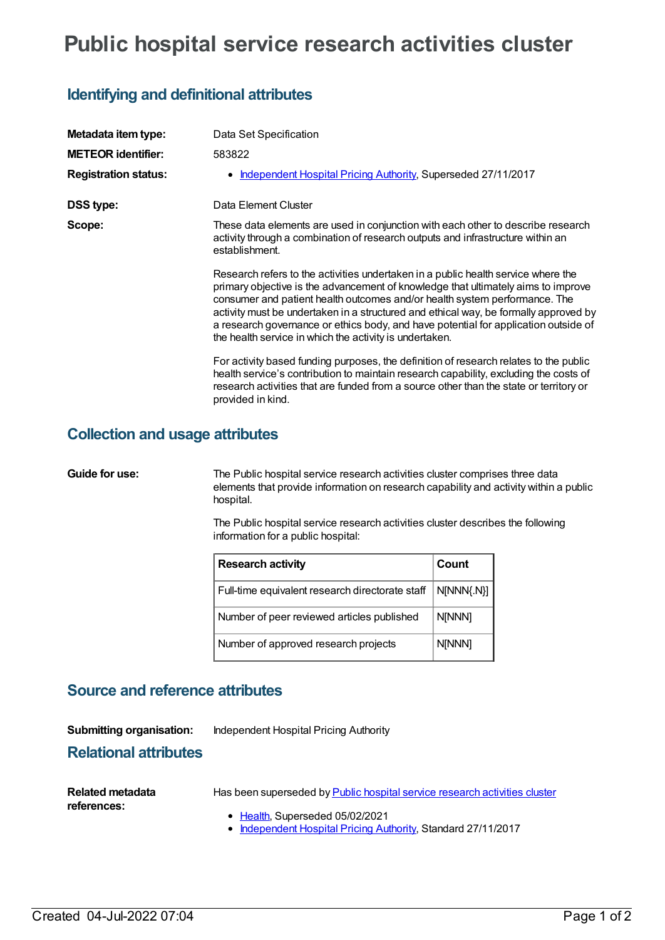# **Public hospital service research activities cluster**

## **Identifying and definitional attributes**

| Metadata item type:         | Data Set Specification                                                                                                                                                                                                                                                                                                                                                                                                                                                                         |  |  |
|-----------------------------|------------------------------------------------------------------------------------------------------------------------------------------------------------------------------------------------------------------------------------------------------------------------------------------------------------------------------------------------------------------------------------------------------------------------------------------------------------------------------------------------|--|--|
| <b>METEOR identifier:</b>   | 583822                                                                                                                                                                                                                                                                                                                                                                                                                                                                                         |  |  |
| <b>Registration status:</b> | Independent Hospital Pricing Authority, Superseded 27/11/2017                                                                                                                                                                                                                                                                                                                                                                                                                                  |  |  |
| <b>DSS type:</b>            | Data Element Cluster                                                                                                                                                                                                                                                                                                                                                                                                                                                                           |  |  |
| Scope:                      | These data elements are used in conjunction with each other to describe research<br>activity through a combination of research outputs and infrastructure within an<br>establishment.                                                                                                                                                                                                                                                                                                          |  |  |
|                             | Research refers to the activities undertaken in a public health service where the<br>primary objective is the advancement of knowledge that ultimately aims to improve<br>consumer and patient health outcomes and/or health system performance. The<br>activity must be undertaken in a structured and ethical way, be formally approved by<br>a research governance or ethics body, and have potential for application outside of<br>the health service in which the activity is undertaken. |  |  |
|                             | For activity based funding purposes, the definition of research relates to the public<br>health service's contribution to maintain research capability, excluding the costs of<br>research activities that are funded from a source other than the state or territory or<br>provided in kind.                                                                                                                                                                                                  |  |  |

### **Collection and usage attributes**

**Guide for use:** The Public hospital service research activities cluster comprises three data elements that provide information on research capability and activity within a public hospital.

> The Public hospital service research activities cluster describes the following information for a public hospital:

| <b>Research activity</b>                        | Count         |
|-------------------------------------------------|---------------|
| Full-time equivalent research directorate staff | N[NNN{.N}]    |
| Number of peer reviewed articles published      | N[NNN]        |
| Number of approved research projects            | <b>N[NNN]</b> |

### **Source and reference attributes**

| <b>Submitting organisation:</b> | Independent Hospital Pricing Authority |
|---------------------------------|----------------------------------------|
|                                 |                                        |

### **Relational attributes**

| Related metadata | Has been superseded by Public hospital service research activities cluster                                                                                                                                                                                           |
|------------------|----------------------------------------------------------------------------------------------------------------------------------------------------------------------------------------------------------------------------------------------------------------------|
| references:      | • Health, Superseded 05/02/2021<br>$\mathbf{r}$ , and the state of the state of the state of the state of the state of the state of the state of the state of the state of the state of the state of the state of the state of the state of the state of the state o |

[Independent](https://meteor.aihw.gov.au/RegistrationAuthority/3) Hospital Pricing Authority, Standard 27/11/2017